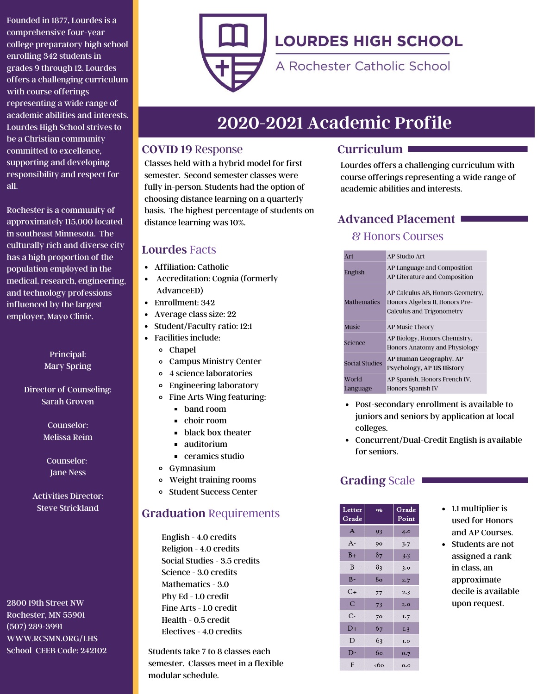Founded in 1877, Lourdes is a comprehensive four-year college preparatory high school enrolling 342 students in grades 9 through 12. Lourdes offers a challenging curriculum with course offerings representing a wide range of academic abilities and interests. Lourdes High School strives to be a Christian community committed to excellence, supporting and developing responsibility and respect for all.

Rochester is a community of approximately 115,000 located in southeast Minnesota. The culturally rich and diverse city has a high proportion of the population employed in the medical, research, engineering, and technology professions influenced by the largest employer, Mayo Clinic.

> Principal: Mary Spring

Director of Counseling: Sarah Groven

> Counselor: Melissa Reim

Counselor: Jane Ness

Activities Director: Steve Strickland

2800 19th Street NW Rochester, MN 55901 (507) 289-3991 WWW.RCSMN.ORG/LHS School CEEB Code: 242102



# **LOURDES HIGH SCHOOL**

A Rochester Catholic School

# **2020-2021 Academic Profile**

### **COVID 19** Response

Classes held with a hybrid model for first semester. Second semester classes were fully in-person. Students had the option of choosing distance learning on a quarterly basis. The highest percentage of students on distance learning was 10%.

## **Lourdes** Facts

- Affiliation: Catholic
- Accreditation: Cognia (formerly AdvanceED)
- Enrollment: 342
- Average class size: 22
- Student/Faculty ratio: 12:1
- Facilities include:
	- Chapel
	- Campus Ministry Center
	- 4 science laboratories
	- Engineering laboratory
	- Fine Arts Wing featuring:
		- **band room**
		- choir room
		- **black box theater**
		- auditorium
		- ceramics studio
	- Gymnasium
	- Weight training rooms
	- Student Success Center

# **Graduation** Requirements

English - 4.0 credits Religion - 4.0 credits Social Studies - 3.5 credits Science - 3.0 credits Mathematics - 3.0 Phy Ed - 1.0 credit Fine Arts - 1.0 credit Health - 0.5 credit Electives - 4.0 credits

Students take 7 to 8 classes each semester. Classes meet in a flexible modular schedule.

# **Curriculum**

Lourdes offers a challenging curriculum with course offerings representing a wide range of academic abilities and interests.

# **Advanced Placement**

# & Honors Courses

| Art                   | <b>AP Studio Art</b>                                                                                   |  |
|-----------------------|--------------------------------------------------------------------------------------------------------|--|
| English               | AP Language and Composition<br>AP Literature and Composition                                           |  |
| <b>Mathematics</b>    | AP Calculus AB, Honors Geometry,<br>Honors Algebra II, Honors Pre-<br><b>Calculus and Trigonometry</b> |  |
| <b>Music</b>          | <b>AP Music Theory</b>                                                                                 |  |
| Science               | AP Biology, Honors Chemistry,<br>Honors Anatomy and Physiology                                         |  |
| <b>Social Studies</b> | AP Human Geography, AP<br>Psychology, AP US History                                                    |  |
| World<br>Language     | AP Spanish, Honors French IV,<br><b>Honors Spanish IV</b>                                              |  |

- Post-secondary enrollment is available to juniors and seniors by application at local colleges.
- Concurrent/Dual-Credit English is available for seniors.

# Grading Scale

| Letter<br>Grade | Q              | Grade<br>Point |
|-----------------|----------------|----------------|
| A               | 93             | 4.0            |
| $A -$           | 90             | 3.7            |
| $B+$            | 8 <sub>7</sub> | 3.3            |
| B               | 83             | 3.0            |
| $B-$            | 80             | 2.7            |
| $C_{+}$         | 77             | 2.3            |
| $\mathsf{C}$    | 73             | 2.0            |
| С-              | 70             | I.7            |
| $D+$            | 67             | I.3            |
| D               | 63             | I.O            |
| D-              | 60             | 0.7            |
| F               | <60            | 0.0            |

- 1.1 multiplier is used for Honors and AP Courses.
- Students are not assigned a rank in class, an approximate decile is available upon request.